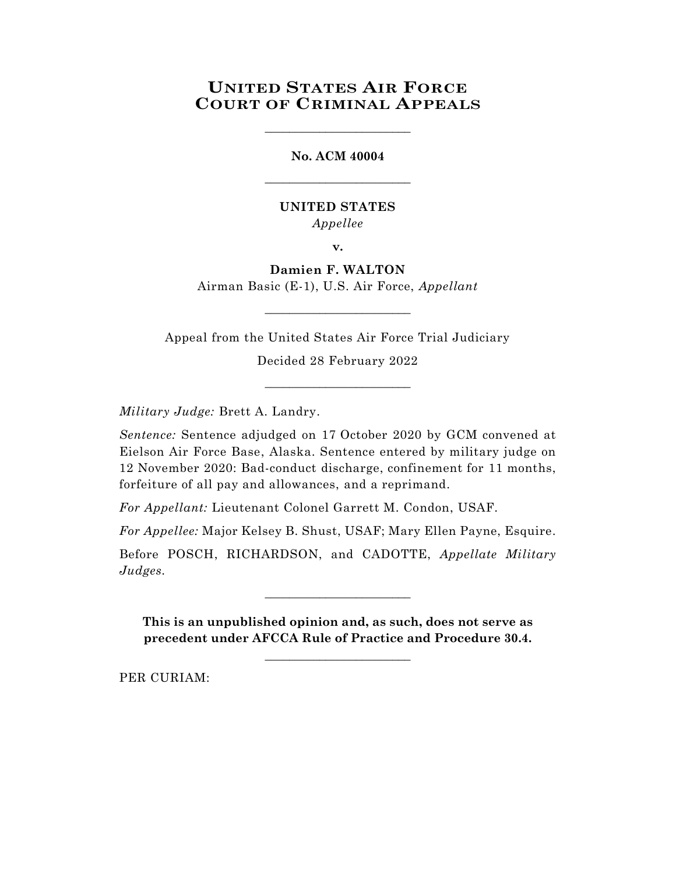# **UNITED STATES AIR FORCE COURT OF CRIMINAL APPEALS**

\_\_\_\_\_\_\_\_\_\_\_\_\_\_\_\_\_\_\_\_\_\_\_\_

**No. ACM 40004** \_\_\_\_\_\_\_\_\_\_\_\_\_\_\_\_\_\_\_\_\_\_\_\_

### **UNITED STATES** *Appellee*

**v.**

## **Damien F. WALTON** Airman Basic (E-1), U.S. Air Force, *Appellant*

Appeal from the United States Air Force Trial Judiciary

 $\_$ 

Decided 28 February 2022

\_\_\_\_\_\_\_\_\_\_\_\_\_\_\_\_\_\_\_\_\_\_\_\_

*Military Judge:* Brett A. Landry.

*Sentence:* Sentence adjudged on 17 October 2020 by GCM convened at Eielson Air Force Base, Alaska. Sentence entered by military judge on 12 November 2020: Bad-conduct discharge, confinement for 11 months, forfeiture of all pay and allowances, and a reprimand.

*For Appellant:* Lieutenant Colonel Garrett M. Condon, USAF.

*For Appellee:* Major Kelsey B. Shust, USAF; Mary Ellen Payne, Esquire.

Before POSCH, RICHARDSON, and CADOTTE, *Appellate Military Judges.*

\_\_\_\_\_\_\_\_\_\_\_\_\_\_\_\_\_\_\_\_\_\_\_\_

**This is an unpublished opinion and, as such, does not serve as precedent under AFCCA Rule of Practice and Procedure 30.4.**

**\_\_\_\_\_\_\_\_\_\_\_\_\_\_\_\_\_\_\_\_\_\_\_\_**

PER CURIAM: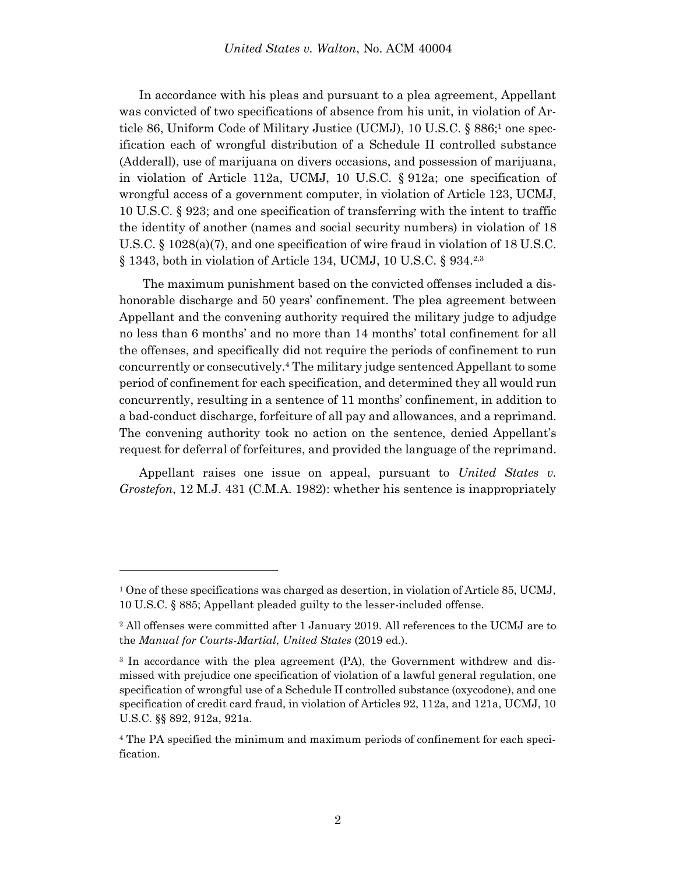In accordance with his pleas and pursuant to a plea agreement, Appellant was convicted of two specifications of absence from his unit, in violation of Article 86, Uniform Code of Military Justice (UCMJ), 10 U.S.C. § 886;<sup>1</sup> one specification each of wrongful distribution of a Schedule II controlled substance (Adderall), use of marijuana on divers occasions, and possession of marijuana, in violation of Article 112a, UCMJ, 10 U.S.C. § 912a; one specification of wrongful access of a government computer, in violation of Article 123, UCMJ, 10 U.S.C. § 923; and one specification of transferring with the intent to traffic the identity of another (names and social security numbers) in violation of 18 U.S.C. § 1028(a)(7), and one specification of wire fraud in violation of 18 U.S.C. § 1343, both in violation of Article 134, UCMJ, 10 U.S.C. § 934.<sup>2,3</sup>

The maximum punishment based on the convicted offenses included a dishonorable discharge and 50 years' confinement. The plea agreement between Appellant and the convening authority required the military judge to adjudge no less than 6 months' and no more than 14 months' total confinement for all the offenses, and specifically did not require the periods of confinement to run concurrently or consecutively. <sup>4</sup> The military judge sentenced Appellant to some period of confinement for each specification, and determined they all would run concurrently, resulting in a sentence of 11 months' confinement, in addition to a bad-conduct discharge, forfeiture of all pay and allowances, and a reprimand. The convening authority took no action on the sentence, denied Appellant's request for deferral of forfeitures, and provided the language of the reprimand.

Appellant raises one issue on appeal, pursuant to *United States v. Grostefon*, 12 M.J. 431 (C.M.A. 1982): whether his sentence is inappropriately

l

<sup>1</sup> One of these specifications was charged as desertion, in violation of Article 85, UCMJ, 10 U.S.C. § 885; Appellant pleaded guilty to the lesser-included offense.

<sup>2</sup> All offenses were committed after 1 January 2019. All references to the UCMJ are to the *Manual for Courts-Martial*, *United States* (2019 ed.).

<sup>3</sup> In accordance with the plea agreement (PA), the Government withdrew and dismissed with prejudice one specification of violation of a lawful general regulation, one specification of wrongful use of a Schedule II controlled substance (oxycodone), and one specification of credit card fraud, in violation of Articles 92, 112a, and 121a, UCMJ, 10 U.S.C. §§ 892, 912a, 921a.

<sup>4</sup> The PA specified the minimum and maximum periods of confinement for each specification.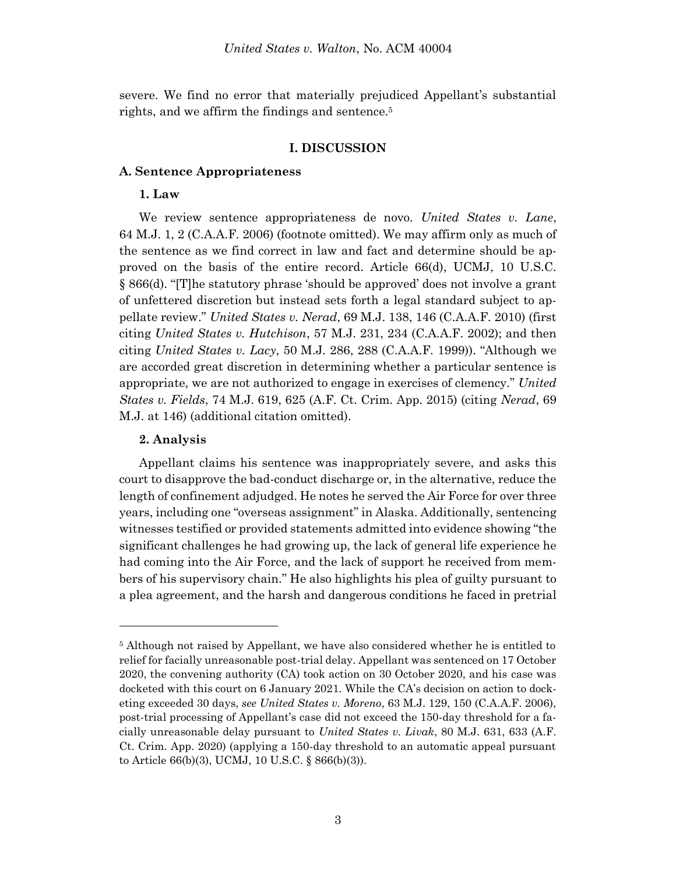severe. We find no error that materially prejudiced Appellant's substantial rights, and we affirm the findings and sentence.<sup>5</sup>

#### **I. DISCUSSION**

#### **A. Sentence Appropriateness**

#### **1. Law**

We review sentence appropriateness de novo. *United States v. Lane*, 64 M.J. 1, 2 (C.A.A.F. 2006) (footnote omitted). We may affirm only as much of the sentence as we find correct in law and fact and determine should be approved on the basis of the entire record. Article 66(d), UCMJ, 10 U.S.C. § 866(d). "[T]he statutory phrase 'should be approved' does not involve a grant of unfettered discretion but instead sets forth a legal standard subject to appellate review." *United States v. Nerad*, 69 M.J. 138, 146 (C.A.A.F. 2010) (first citing *United States v. Hutchison*, 57 M.J. 231, 234 (C.A.A.F. 2002); and then citing *United States v. Lacy*, 50 M.J. 286, 288 (C.A.A.F. 1999)). "Although we are accorded great discretion in determining whether a particular sentence is appropriate, we are not authorized to engage in exercises of clemency." *United States v. Fields*, 74 M.J. 619, 625 (A.F. Ct. Crim. App. 2015) (citing *Nerad*, 69 M.J. at 146) (additional citation omitted).

#### **2. Analysis**

Appellant claims his sentence was inappropriately severe, and asks this court to disapprove the bad-conduct discharge or, in the alternative, reduce the length of confinement adjudged. He notes he served the Air Force for over three years, including one "overseas assignment" in Alaska. Additionally, sentencing witnesses testified or provided statements admitted into evidence showing "the significant challenges he had growing up, the lack of general life experience he had coming into the Air Force, and the lack of support he received from members of his supervisory chain." He also highlights his plea of guilty pursuant to a plea agreement, and the harsh and dangerous conditions he faced in pretrial

<sup>5</sup> Although not raised by Appellant, we have also considered whether he is entitled to relief for facially unreasonable post-trial delay. Appellant was sentenced on 17 October 2020, the convening authority (CA) took action on 30 October 2020, and his case was docketed with this court on 6 January 2021. While the CA's decision on action to docketing exceeded 30 days, *see United States v. Moreno*, 63 M.J. 129, 150 (C.A.A.F. 2006), post-trial processing of Appellant's case did not exceed the 150-day threshold for a facially unreasonable delay pursuant to *United States v. Livak*, 80 M.J. 631, 633 (A.F. Ct. Crim. App. 2020) (applying a 150-day threshold to an automatic appeal pursuant to Article 66(b)(3), UCMJ, 10 U.S.C. § 866(b)(3)).